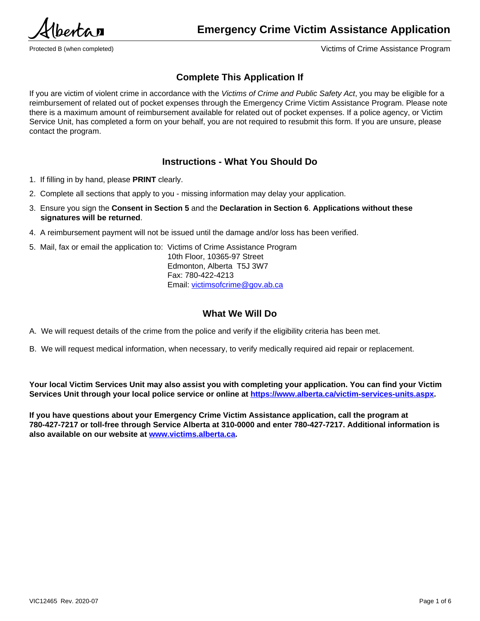$P$ *entra* 

Protected B (when completed) Victims of Crime Assistance Program

# **Complete This Application If**

If you are victim of violent crime in accordance with the *Victims of Crime and Public Safety Act*, you may be eligible for a reimbursement of related out of pocket expenses through the Emergency Crime Victim Assistance Program. Please note there is a maximum amount of reimbursement available for related out of pocket expenses. If a police agency, or Victim Service Unit, has completed a form on your behalf, you are not required to resubmit this form. If you are unsure, please contact the program.

## **Instructions - What You Should Do**

- 1. If filling in by hand, please **PRINT** clearly.
- 2. Complete all sections that apply to you missing information may delay your application.
- 3. Ensure you sign the **Consent in Section 5** and the **Declaration in Section 6**. **Applications without these signatures will be returned**.
- 4. A reimbursement payment will not be issued until the damage and/or loss has been verified.
- 5. Mail, fax or email the application to: Victims of Crime Assistance Program

10th Floor, 10365-97 Street Edmonton, Alberta T5J 3W7 Fax: 780-422-4213 Email: [victimsofcrime@gov.ab.ca](mailto:victimsofcrime@gov.ab.ca)

# **What We Will Do**

A. We will request details of the crime from the police and verify if the eligibility criteria has been met.

B. We will request medical information, when necessary, to verify medically required aid repair or replacement.

**Your local Victim Services Unit may also assist you with completing your application. You can find your Victim Services Unit through your local police service or online at [https://www.alberta.ca/victim-services-units.aspx.](https://www.alberta.ca/victim-services-units.aspx)**

**If you have questions about your Emergency Crime Victim Assistance application, call the program at 780-427-7217 or toll-free through Service Alberta at 310-0000 and enter 780-427-7217. Additional information is also available on our website at<www.victims.alberta.ca>.**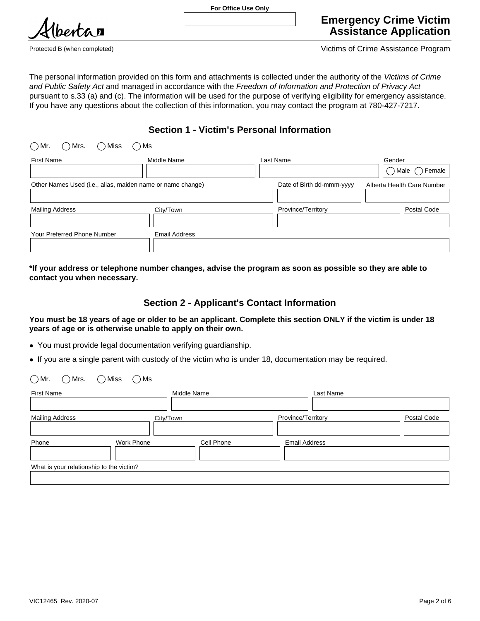

Protected B (when completed) Victims of Crime Assistance Program

The personal information provided on this form and attachments is collected under the authority of the *Victims of Crime and Public Safety Act* and managed in accordance with the *Freedom of Information and Protection of Privacy Act*  pursuant to s.33 (a) and (c). The information will be used for the purpose of verifying eligibility for emergency assistance. If you have any questions about the collection of this information, you may contact the program at 780-427-7217.

# **Section 1 - Victim's Personal Information**

| (        )Mr.<br>) Mrs.<br>) Miss<br>) Ms                  |                           |                            |                |
|------------------------------------------------------------|---------------------------|----------------------------|----------------|
| <b>First Name</b>                                          | Middle Name               | Last Name                  | Gender         |
|                                                            |                           |                            | Female<br>Male |
| Other Names Used (i.e., alias, maiden name or name change) | Date of Birth dd-mmm-yyyy | Alberta Health Care Number |                |
|                                                            |                           |                            |                |
| <b>Mailing Address</b>                                     | City/Town                 | Province/Territory         | Postal Code    |
|                                                            |                           |                            |                |
| Your Preferred Phone Number                                | <b>Email Address</b>      |                            |                |
|                                                            |                           |                            |                |

**\*If your address or telephone number changes, advise the program as soon as possible so they are able to contact you when necessary.**

# **Section 2 - Applicant's Contact Information**

**You must be 18 years of age or older to be an applicant. Complete this section ONLY if the victim is under 18 years of age or is otherwise unable to apply on their own.**

- You must provide legal documentation verifying guardianship.
- If you are a single parent with custody of the victim who is under 18, documentation may be required.

| $\bigcirc$ Mr.<br>$\bigcirc$ Mrs.<br><b>First Name</b> | $\bigcap$ Miss<br>$\bigcirc$ Ms | Middle Name | Last Name            |             |
|--------------------------------------------------------|---------------------------------|-------------|----------------------|-------------|
|                                                        |                                 |             |                      |             |
| <b>Mailing Address</b>                                 | City/Town                       |             | Province/Territory   | Postal Code |
|                                                        |                                 |             |                      |             |
| Phone                                                  | Work Phone                      | Cell Phone  | <b>Email Address</b> |             |
|                                                        |                                 |             |                      |             |
| What is your relationship to the victim?               |                                 |             |                      |             |
|                                                        |                                 |             |                      |             |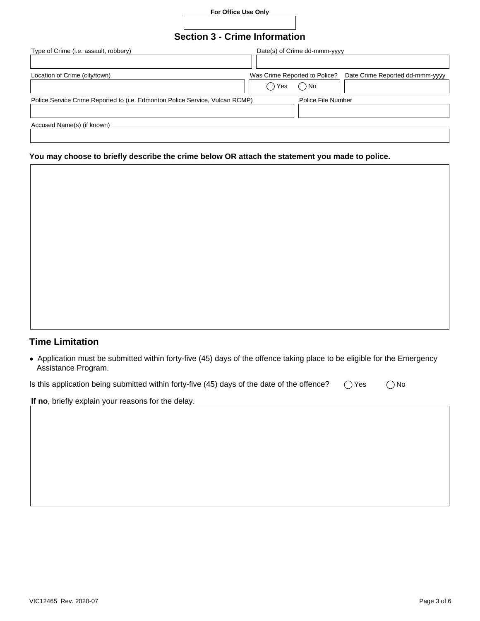**For Office Use Only**

# **Section 3 - Crime Information**

| Type of Crime (i.e. assault, robbery)                                        |                               | Date(s) of Crime dd-mmm-yyyy |                                 |
|------------------------------------------------------------------------------|-------------------------------|------------------------------|---------------------------------|
|                                                                              |                               |                              |                                 |
| Location of Crime (city/town)                                                | Was Crime Reported to Police? |                              | Date Crime Reported dd-mmm-yyyy |
|                                                                              | Yes                           | ) No                         |                                 |
| Police Service Crime Reported to (i.e. Edmonton Police Service, Vulcan RCMP) |                               | Police File Number           |                                 |
|                                                                              |                               |                              |                                 |
| Accused Name(s) (if known)                                                   |                               |                              |                                 |
|                                                                              |                               |                              |                                 |

### **You may choose to briefly describe the crime below OR attach the statement you made to police.**

| <b>Time Limitation</b> |  |
|------------------------|--|

● Application must be submitted within forty-five (45) days of the offence taking place to be eligible for the Emergency Assistance Program.

| Is this application being submitted within forty-five (45) days of the date of the offence? | ◯ Yes | $\bigcirc$ No |
|---------------------------------------------------------------------------------------------|-------|---------------|
|---------------------------------------------------------------------------------------------|-------|---------------|

**If no**, briefly explain your reasons for the delay.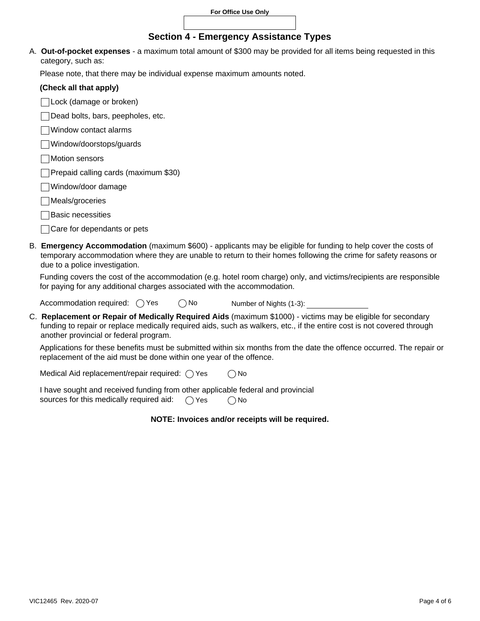## **Section 4 - Emergency Assistance Types**

A. **Out-of-pocket expenses** - a maximum total amount of \$300 may be provided for all items being requested in this category, such as:

Please note, that there may be individual expense maximum amounts noted.

| (Check all that apply) |  |  |  |
|------------------------|--|--|--|
|------------------------|--|--|--|

Lock (damage or broken)

Dead bolts, bars, peepholes, etc.

- Window contact alarms
- Window/doorstops/guards
- **Motion sensors**
- Prepaid calling cards (maximum \$30)
- Window/door damage
- Meals/groceries
- **Basic necessities**
- Care for dependants or pets
- B. **Emergency Accommodation** (maximum \$600) applicants may be eligible for funding to help cover the costs of temporary accommodation where they are unable to return to their homes following the crime for safety reasons or due to a police investigation.

Funding covers the cost of the accommodation (e.g. hotel room charge) only, and victims/recipients are responsible for paying for any additional charges associated with the accommodation.

Accommodation required:  $\bigcirc$  Yes  $\bigcirc$  No Number of Nights (1-3):

C. **Replacement or Repair of Medically Required Aids** (maximum \$1000) - victims may be eligible for secondary funding to repair or replace medically required aids, such as walkers, etc., if the entire cost is not covered through another provincial or federal program.

Applications for these benefits must be submitted within six months from the date the offence occurred. The repair or replacement of the aid must be done within one year of the offence.

Medical Aid replacement/repair required:  $\bigcirc$  Yes  $\bigcirc$  No

I have sought and received funding from other applicable federal and provincial sources for this medically required aid:  $\bigcap$  Yes  $\bigcap$  No

#### **NOTE: Invoices and/or receipts will be required.**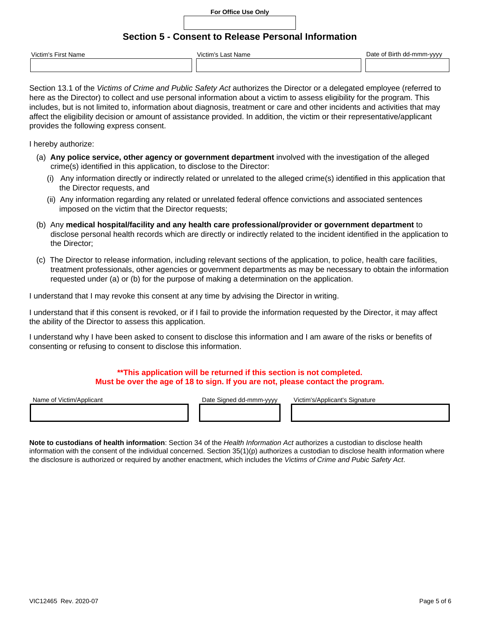#### **For Office Use Only**

## **Section 5 - Consent to Release Personal Information**

| Victim's.<br>First<br>. Name<br>vane | Victim's<br>` ast Name | Date<br>Birth<br><b>.\/\/\/\</b><br>ำ-mm<br>. റ†<br>uu<br>,,,, |
|--------------------------------------|------------------------|----------------------------------------------------------------|
|                                      |                        |                                                                |

Section 13.1 of the *Victims of Crime and Public Safety Act* authorizes the Director or a delegated employee (referred to here as the Director) to collect and use personal information about a victim to assess eligibility for the program. This includes, but is not limited to, information about diagnosis, treatment or care and other incidents and activities that may affect the eligibility decision or amount of assistance provided. In addition, the victim or their representative/applicant provides the following express consent.

I hereby authorize:

- (a) **Any police service, other agency or government department** involved with the investigation of the alleged crime(s) identified in this application, to disclose to the Director:
	- (i) Any information directly or indirectly related or unrelated to the alleged crime(s) identified in this application that the Director requests, and
	- (ii) Any information regarding any related or unrelated federal offence convictions and associated sentences imposed on the victim that the Director requests;
- (b) Any **medical hospital/facility and any health care professional/provider or government department** to disclose personal health records which are directly or indirectly related to the incident identified in the application to the Director;
- (c) The Director to release information, including relevant sections of the application, to police, health care facilities, treatment professionals, other agencies or government departments as may be necessary to obtain the information requested under (a) or (b) for the purpose of making a determination on the application.

I understand that I may revoke this consent at any time by advising the Director in writing.

I understand that if this consent is revoked, or if I fail to provide the information requested by the Director, it may affect the ability of the Director to assess this application.

I understand why I have been asked to consent to disclose this information and I am aware of the risks or benefits of consenting or refusing to consent to disclose this information.

### **\*\*This application will be returned if this section is not completed. Must be over the age of 18 to sign. If you are not, please contact the program.**

Name of Victim/Applicant **Date Signed dd-mmm-yyyy** Victim's/Applicant's Signature

**Note to custodians of health information**: Section 34 of the *Health Information Act* authorizes a custodian to disclose health information with the consent of the individual concerned. Section 35(1)(p) authorizes a custodian to disclose health information where the disclosure is authorized or required by another enactment, which includes the *Victims of Crime and Pubic Safety Act*.